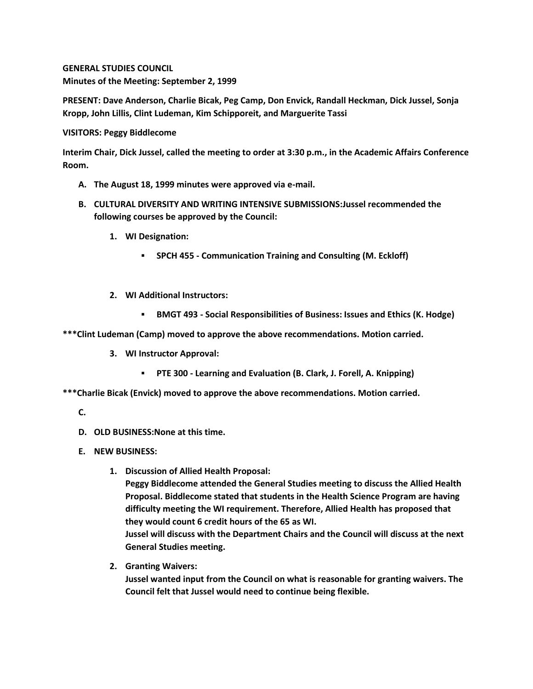**GENERAL STUDIES COUNCIL Minutes of the Meeting: September 2, 1999**

**PRESENT: Dave Anderson, Charlie Bicak, Peg Camp, Don Envick, Randall Heckman, Dick Jussel, Sonja Kropp, John Lillis, Clint Ludeman, Kim Schipporeit, and Marguerite Tassi**

**VISITORS: Peggy Biddlecome**

**Interim Chair, Dick Jussel, called the meeting to order at 3:30 p.m., in the Academic Affairs Conference Room.**

- **A. The August 18, 1999 minutes were approved via e-mail.**
- **B. CULTURAL DIVERSITY AND WRITING INTENSIVE SUBMISSIONS:Jussel recommended the following courses be approved by the Council:** 
	- **1. WI Designation:** 
		- **SPCH 455 - Communication Training and Consulting (M. Eckloff)**
	- **2. WI Additional Instructors:**
		- **BMGT 493 - Social Responsibilities of Business: Issues and Ethics (K. Hodge)**

**\*\*\*Clint Ludeman (Camp) moved to approve the above recommendations. Motion carried.**

- **3. WI Instructor Approval:**
	- **PTE 300 - Learning and Evaluation (B. Clark, J. Forell, A. Knipping)**

**\*\*\*Charlie Bicak (Envick) moved to approve the above recommendations. Motion carried.**

## **C.**

- **D. OLD BUSINESS:None at this time.**
- **E. NEW BUSINESS:**
	- **1. Discussion of Allied Health Proposal:**

**Peggy Biddlecome attended the General Studies meeting to discuss the Allied Health Proposal. Biddlecome stated that students in the Health Science Program are having difficulty meeting the WI requirement. Therefore, Allied Health has proposed that they would count 6 credit hours of the 65 as WI.**

**Jussel will discuss with the Department Chairs and the Council will discuss at the next General Studies meeting.**

**2. Granting Waivers:**

**Jussel wanted input from the Council on what is reasonable for granting waivers. The Council felt that Jussel would need to continue being flexible.**